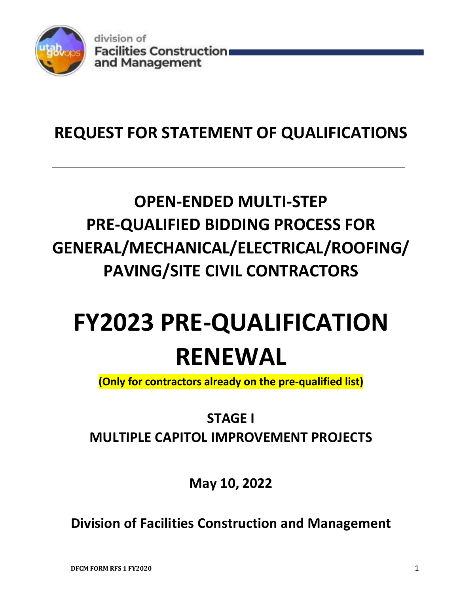

# **REQUEST FOR STATEMENT OF QUALIFICATIONS**

# **OPEN‐ENDED MULTI‐STEP PRE‐QUALIFIED BIDDING PROCESS FOR GENERAL/MECHANICAL/ELECTRICAL/ROOFING/ PAVING/SITE CIVIL CONTRACTORS**

# **FY2023 PRE‐QUALIFICATION RENEWAL**

**(Only for contractors already on the pre‐qualified list)** 

**STAGE I MULTIPLE CAPITOL IMPROVEMENT PROJECTS**

**May 10, 2022**

**Division of Facilities Construction and Management**

**DFCM FORM RFS 1 FY2020** 1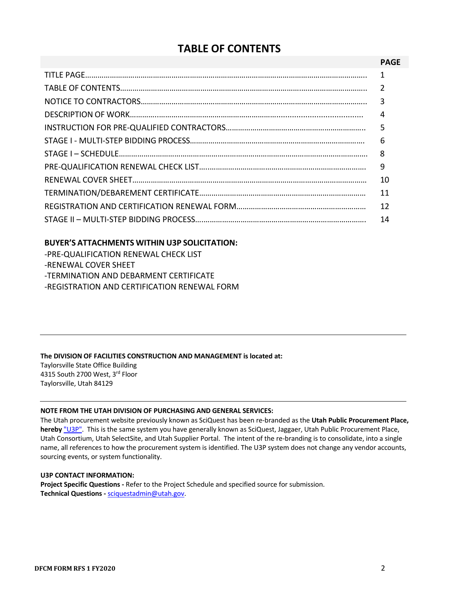### **TABLE OF CONTENTS**

#### **PAGE**

| 4  |
|----|
|    |
|    |
|    |
|    |
| 10 |
| 11 |
| 12 |
| 14 |

#### **BUYER'S ATTACHMENTS WITHIN U3P SOLICITATION:**

| -PRE-QUALIFICATION RENEWAL CHECK LIST        |
|----------------------------------------------|
| -RENEWAL COVER SHEET                         |
| -TERMINATION AND DEBARMENT CERTIFICATE       |
| -REGISTRATION AND CERTIFICATION RENEWAL FORM |

### **The DIVISION OF FACILITIES CONSTRUCTION AND MANAGEMENT is located at:**

Taylorsville State Office Building 4315 South 2700 West, 3rd Floor Taylorsville, Utah 84129

#### **NOTE FROM THE UTAH DIVISION OF PURCHASING AND GENERAL SERVICES:**

The Utah procurement website previously known as SciQuest has been re‐branded as the **Utah Public Procurement Place, hereby** "U3P". This is the same system you have generally known as SciQuest, Jaggaer, Utah Public Procurement Place, Utah Consortium, Utah SelectSite, and Utah Supplier Portal. The intent of the re‐branding is to consolidate, into a single name, all references to how the procurement system is identified. The U3P system does not change any vendor accounts, sourcing events, or system functionality.

#### **U3P CONTACT INFORMATION:**

**Project Specific Questions ‐** Refer to the Project Schedule and specified source for submission. **Technical Questions ‐** sciquestadmin@utah.gov.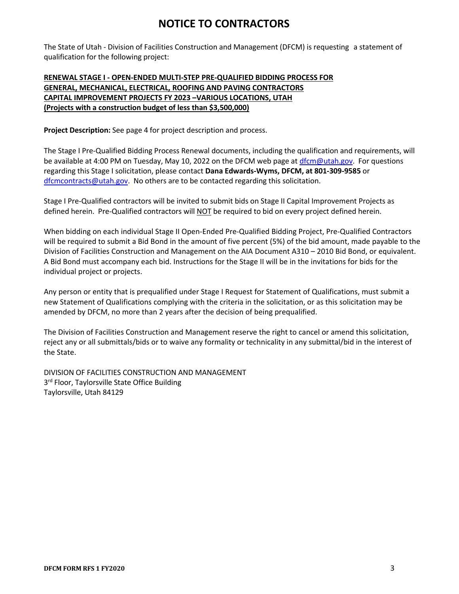### **NOTICE TO CONTRACTORS**

The State of Utah ‐ Division of Facilities Construction and Management (DFCM) is requesting a statement of qualification for the following project:

#### **RENEWAL STAGE I ‐ OPEN‐ENDED MULTI‐STEP PRE‐QUALIFIED BIDDING PROCESS FOR GENERAL, MECHANICAL, ELECTRICAL, ROOFING AND PAVING CONTRACTORS CAPITAL IMPROVEMENT PROJECTS FY 2023 –VARIOUS LOCATIONS, UTAH (Projects with a construction budget of less than \$3,500,000)**

**Project Description:** See page 4 for project description and process.

The Stage I Pre‐Qualified Bidding Process Renewal documents, including the qualification and requirements, will be available at 4:00 PM on Tuesday, May 10, 2022 on the DFCM web page at dfcm@utah.gov. For questions regarding this Stage I solicitation, please contact **Dana Edwards‐Wyms, DFCM, at 801‐309‐9585** or dfcmcontracts@utah.gov. No others are to be contacted regarding this solicitation.

Stage I Pre‐Qualified contractors will be invited to submit bids on Stage II Capital Improvement Projects as defined herein. Pre‐Qualified contractors will NOT be required to bid on every project defined herein.

When bidding on each individual Stage II Open‐Ended Pre‐Qualified Bidding Project, Pre‐Qualified Contractors will be required to submit a Bid Bond in the amount of five percent (5%) of the bid amount, made payable to the Division of Facilities Construction and Management on the AIA Document A310 – 2010 Bid Bond, or equivalent. A Bid Bond must accompany each bid. Instructions for the Stage II will be in the invitations for bids for the individual project or projects.

Any person or entity that is prequalified under Stage I Request for Statement of Qualifications, must submit a new Statement of Qualifications complying with the criteria in the solicitation, or as this solicitation may be amended by DFCM, no more than 2 years after the decision of being prequalified.

The Division of Facilities Construction and Management reserve the right to cancel or amend this solicitation, reject any or all submittals/bids or to waive any formality or technicality in any submittal/bid in the interest of the State.

DIVISION OF FACILITIES CONSTRUCTION AND MANAGEMENT 3<sup>rd</sup> Floor, Taylorsville State Office Building Taylorsville, Utah 84129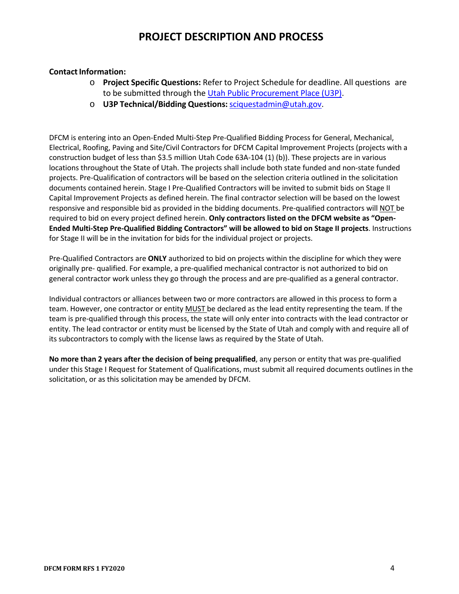### **PROJECT DESCRIPTION AND PROCESS**

#### **Contact Information:**

- o **Project Specific Questions:** Refer to Project Schedule for deadline. All questions are to be submitted through the Utah Public Procurement Place (U3P).
- o **U3P Technical/Bidding Questions:** sciquestadmin@utah.gov.

DFCM is entering into an Open‐Ended Multi‐Step Pre‐Qualified Bidding Process for General, Mechanical, Electrical, Roofing, Paving and Site/Civil Contractors for DFCM Capital Improvement Projects (projects with a construction budget of less than \$3.5 million Utah Code 63A‐104 (1) (b)). These projects are in various locations throughout the State of Utah. The projects shall include both state funded and non‐state funded projects. Pre‐Qualification of contractors will be based on the selection criteria outlined in the solicitation documents contained herein. Stage I Pre‐Qualified Contractors will be invited to submit bids on Stage II Capital Improvement Projects as defined herein. The final contractor selection will be based on the lowest responsive and responsible bid as provided in the bidding documents. Pre-qualified contractors will NOT be required to bid on every project defined herein. **Only contractors listed on the DFCM website as "Open‐ Ended Multi‐Step Pre‐Qualified Bidding Contractors" will be allowed to bid on Stage II projects**. Instructions for Stage II will be in the invitation for bids for the individual project or projects.

Pre‐Qualified Contractors are **ONLY** authorized to bid on projects within the discipline for which they were originally pre‐ qualified. For example, a pre‐qualified mechanical contractor is not authorized to bid on general contractor work unless they go through the process and are pre‐qualified as a general contractor.

Individual contractors or alliances between two or more contractors are allowed in this process to form a team. However, one contractor or entity MUST be declared as the lead entity representing the team. If the team is pre‐qualified through this process, the state will only enter into contracts with the lead contractor or entity. The lead contractor or entity must be licensed by the State of Utah and comply with and require all of its subcontractors to comply with the license laws as required by the State of Utah.

**No more than 2 years after the decision of being prequalified**, any person or entity that was pre‐qualified under this Stage I Request for Statement of Qualifications, must submit all required documents outlines in the solicitation, or as this solicitation may be amended by DFCM.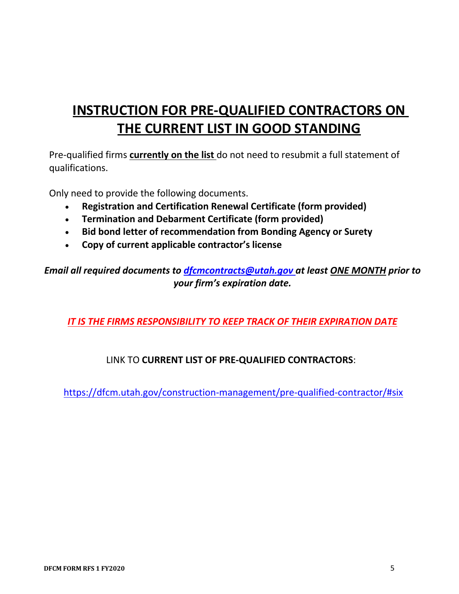# **INSTRUCTION FOR PRE‐QUALIFIED CONTRACTORS ON THE CURRENT LIST IN GOOD STANDING**

Pre‐qualified firms **currently on the list** do not need to resubmit a full statement of qualifications.

Only need to provide the following documents.

- **Registration and Certification Renewal Certificate (form provided)**
- **Termination and Debarment Certificate (form provided)**
- **Bid bond letter of recommendation from Bonding Agency or Surety**
- **Copy of current applicable contractor's license**

*Email all required documents to dfcmcontracts@utah.gov at least ONE MONTH prior to your firm's expiration date.* 

*IT IS THE FIRMS RESPONSIBILITY TO KEEP TRACK OF THEIR EXPIRATION DATE*

### LINK TO **CURRENT LIST OF PRE‐QUALIFIED CONTRACTORS**:

https://dfcm.utah.gov/construction‐management/pre‐qualified‐contractor/#six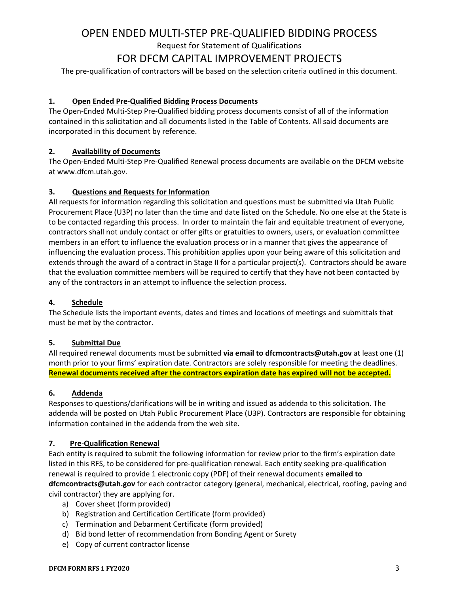# OPEN ENDED MULTI‐STEP PRE‐QUALIFIED BIDDING PROCESS

Request for Statement of Qualifications

### FOR DFCM CAPITAL IMPROVEMENT PROJECTS

The pre-qualification of contractors will be based on the selection criteria outlined in this document.

#### **1. Open Ended Pre‐Qualified Bidding Process Documents**

The Open‐Ended Multi‐Step Pre‐Qualified bidding process documents consist of all of the information contained in this solicitation and all documents listed in the Table of Contents. All said documents are incorporated in this document by reference.

#### **2. Availability of Documents**

The Open‐Ended Multi‐Step Pre‐Qualified Renewal process documents are available on the DFCM website at www.dfcm.utah.gov.

#### **3. Questions and Requests for Information**

All requests for information regarding this solicitation and questions must be submitted via Utah Public Procurement Place (U3P) no later than the time and date listed on the Schedule. No one else at the State is to be contacted regarding this process. In order to maintain the fair and equitable treatment of everyone, contractors shall not unduly contact or offer gifts or gratuities to owners, users, or evaluation committee members in an effort to influence the evaluation process or in a manner that gives the appearance of influencing the evaluation process. This prohibition applies upon your being aware of this solicitation and extends through the award of a contract in Stage II for a particular project(s). Contractors should be aware that the evaluation committee members will be required to certify that they have not been contacted by any of the contractors in an attempt to influence the selection process.

#### **4. Schedule**

The Schedule lists the important events, dates and times and locations of meetings and submittals that must be met by the contractor.

#### **5. Submittal Due**

All required renewal documents must be submitted **via email to dfcmcontracts@utah.gov** at least one (1) month prior to your firms' expiration date. Contractors are solely responsible for meeting the deadlines. **Renewal documents received after the contractors expiration date has expired will not be accepted.** 

#### **6. Addenda**

Responses to questions/clarifications will be in writing and issued as addenda to this solicitation. The addenda will be posted on Utah Public Procurement Place (U3P). Contractors are responsible for obtaining information contained in the addenda from the web site.

#### **7. Pre‐Qualification Renewal**

Each entity is required to submit the following information for review prior to the firm's expiration date listed in this RFS, to be considered for pre‐qualification renewal. Each entity seeking pre‐qualification renewal is required to provide 1 electronic copy (PDF) of their renewal documents **emailed to dfcmcontracts@utah.gov** for each contractor category (general, mechanical, electrical, roofing, paving and civil contractor) they are applying for.

- a) Cover sheet (form provided)
- b) Registration and Certification Certificate (form provided)
- c) Termination and Debarment Certificate (form provided)
- d) Bid bond letter of recommendation from Bonding Agent or Surety
- e) Copy of current contractor license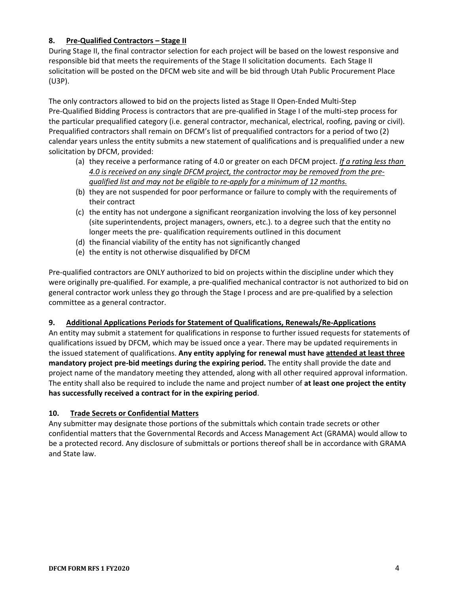#### **8. Pre‐Qualified Contractors – Stage II**

During Stage II, the final contractor selection for each project will be based on the lowest responsive and responsible bid that meets the requirements of the Stage II solicitation documents. Each Stage II solicitation will be posted on the DFCM web site and will be bid through Utah Public Procurement Place (U3P).

The only contractors allowed to bid on the projects listed as Stage II Open‐Ended Multi‐Step Pre‐Qualified Bidding Process is contractors that are pre‐qualified in Stage I of the multi‐step process for the particular prequalified category (i.e. general contractor, mechanical, electrical, roofing, paving or civil). Prequalified contractors shall remain on DFCM's list of prequalified contractors for a period of two (2) calendar years unless the entity submits a new statement of qualifications and is prequalified under a new solicitation by DFCM, provided:

- (a) they receive a performance rating of 4.0 or greater on each DFCM project. *If a rating less than 4.0 is received on any single DFCM project, the contractor may be removed from the pre‐ qualified list and may not be eligible to re‐apply for a minimum of 12 months.*
- (b) they are not suspended for poor performance or failure to comply with the requirements of their contract
- (c) the entity has not undergone a significant reorganization involving the loss of key personnel (site superintendents, project managers, owners, etc.). to a degree such that the entity no longer meets the pre‐ qualification requirements outlined in this document
- (d) the financial viability of the entity has not significantly changed
- (e) the entity is not otherwise disqualified by DFCM

Pre‐qualified contractors are ONLY authorized to bid on projects within the discipline under which they were originally pre‐qualified. For example, a pre‐qualified mechanical contractor is not authorized to bid on general contractor work unless they go through the Stage I process and are pre‐qualified by a selection committee as a general contractor.

#### **9. Additional Applications Periods for Statement of Qualifications, Renewals/Re‐Applications**

An entity may submit a statement for qualifications in response to further issued requests for statements of qualifications issued by DFCM, which may be issued once a year. There may be updated requirements in the issued statement of qualifications. **Any entity applying for renewal must have attended at least three mandatory project pre‐bid meetings during the expiring period.** The entity shall provide the date and project name of the mandatory meeting they attended, along with all other required approval information. The entity shall also be required to include the name and project number of **at least one project the entity has successfully received a contract for in the expiring period**.

#### **10. Trade Secrets or Confidential Matters**

Any submitter may designate those portions of the submittals which contain trade secrets or other confidential matters that the Governmental Records and Access Management Act (GRAMA) would allow to be a protected record. Any disclosure of submittals or portions thereof shall be in accordance with GRAMA and State law.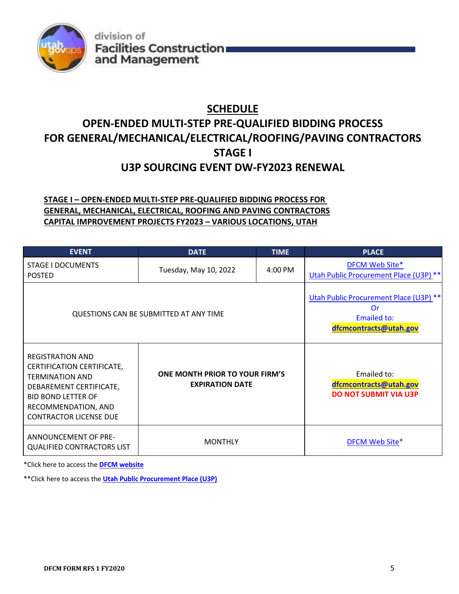

# **SCHEDULE**

# **OPEN‐ENDED MULTI‐STEP PRE‐QUALIFIED BIDDING PROCESS FOR GENERAL/MECHANICAL/ELECTRICAL/ROOFING/PAVING CONTRACTORS STAGE I**

## **U3P SOURCING EVENT DW‐FY2023 RENEWAL**

### **STAGE I – OPEN‐ENDED MULTI‐STEP PRE‐QUALIFIED BIDDING PROCESS FOR GENERAL, MECHANICAL, ELECTRICAL, ROOFING AND PAVING CONTRACTORS CAPITAL IMPROVEMENT PROJECTS FY2023 – VARIOUS LOCATIONS, UTAH**

| <b>EVENT</b>                                                                                                                                                                                    | <b>DATE</b><br><b>TIME</b>                                                                          |  |                                                                       |  | <b>PLACE</b>                                             |
|-------------------------------------------------------------------------------------------------------------------------------------------------------------------------------------------------|-----------------------------------------------------------------------------------------------------|--|-----------------------------------------------------------------------|--|----------------------------------------------------------|
| STAGE I DOCUMENTS<br><b>POSTED</b>                                                                                                                                                              | Tuesday, May 10, 2022<br>4:00 PM                                                                    |  |                                                                       |  | DFCM Web Site*<br>Utah Public Procurement Place (U3P) ** |
| QUESTIONS CAN BE SUBMITTED AT ANY TIME                                                                                                                                                          | Utah Public Procurement Place (U3P) **<br><b>Or</b><br><b>Emailed to:</b><br>dfcmcontracts@utah.gov |  |                                                                       |  |                                                          |
| <b>REGISTRATION AND</b><br>CERTIFICATION CERTIFICATE,<br><b>TERMINATION AND</b><br>DEBAREMENT CERTIFICATE,<br><b>BID BOND LETTER OF</b><br>RECOMMENDATION, AND<br><b>CONTRACTOR LICENSE DUE</b> | ONE MONTH PRIOR TO YOUR FIRM'S<br><b>EXPIRATION DATE</b>                                            |  | Emailed to:<br>dfcmcontracts@utah.gov<br><b>DO NOT SUBMIT VIA U3P</b> |  |                                                          |
| ANNOUNCEMENT OF PRE-<br><b>QUALIFIED CONTRACTORS LIST</b>                                                                                                                                       | <b>MONTHLY</b>                                                                                      |  | DFCM Web Site*                                                        |  |                                                          |

\*Click here to access the **DFCM website**

\*\*Click here to access the **Utah Public Procurement Place (U3P)**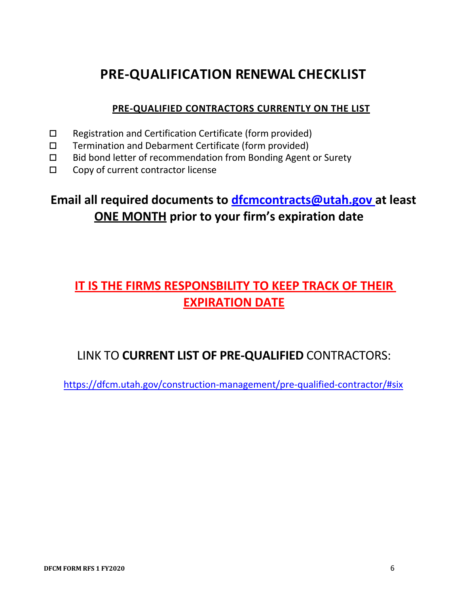# **PRE‐QUALIFICATION RENEWAL CHECKLIST**

### **PRE‐QUALIFIED CONTRACTORS CURRENTLY ON THE LIST**

- $\Box$  Registration and Certification Certificate (form provided)
- $\Box$  Termination and Debarment Certificate (form provided)
- $\Box$  Bid bond letter of recommendation from Bonding Agent or Surety
- □ Copy of current contractor license

# **Email all required documents to dfcmcontracts@utah.gov at least ONE MONTH prior to your firm's expiration date**

# **IT IS THE FIRMS RESPONSBILITY TO KEEP TRACK OF THEIR EXPIRATION DATE**

# LINK TO **CURRENT LIST OF PRE‐QUALIFIED** CONTRACTORS:

https://dfcm.utah.gov/construction‐management/pre‐qualified‐contractor/#six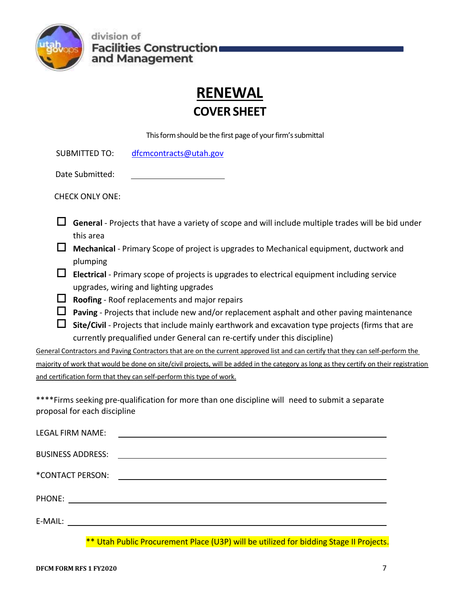

# **RENEWAL**

# **COVER SHEET**

This form should be the first page of your firm's submittal

SUBMITTED TO: dfcmcontracts@utah.gov

| Date Submitted: |
|-----------------|
|                 |

CHECK ONLY ONE:

- **General** ‐ Projects that have a variety of scope and will include multiple trades will be bid under this area
- **Mechanical** ‐ Primary Scope of project is upgrades to Mechanical equipment, ductwork and plumping
- **Electrical** ‐ Primary scope of projects is upgrades to electrical equipment including service upgrades, wiring and lighting upgrades
- **Roofing** ‐ Roof replacements and major repairs
- **Paving** ‐ Projects that include new and/or replacement asphalt and other paving maintenance
- **Site/Civil** ‐ Projects that include mainly earthwork and excavation type projects (firms that are currently prequalified under General can re‐certify under this discipline)

General Contractors and Paving Contractors that are on the current approved list and can certify that they can self‐perform the majority of work that would be done on site/civil projects, will be added in the category as long as they certify on their registration and certification form that they can self‐perform this type of work.

\*\*\*\*Firms seeking pre‐qualification for more than one discipline will need to submit a separate proposal for each discipline

| LEGAL FIRM NAME:         | <u> 1989 - Jan Stein Stein, fransk politik (d. 1989)</u>                                                             |
|--------------------------|----------------------------------------------------------------------------------------------------------------------|
| <b>BUSINESS ADDRESS:</b> | <u> Andreas Andreas Andreas Andreas Andreas Andreas Andreas Andreas Andreas Andreas Andreas Andreas Andreas Andr</u> |
| *CONTACT PERSON:         | <u> Alexandria de la contrada de la contrada de la contrada de la contrada de la contrada de la contrada de la c</u> |
|                          |                                                                                                                      |
|                          | ,我们也不会有什么。""我们的人,我们也不会有什么?""我们的人,我们也不会有什么?""我们的人,我们也不会有什么?""我们的人,我们也不会有什么?""我们的人                                     |

\*\* Utah Public Procurement Place (U3P) will be utilized for bidding Stage II Projects.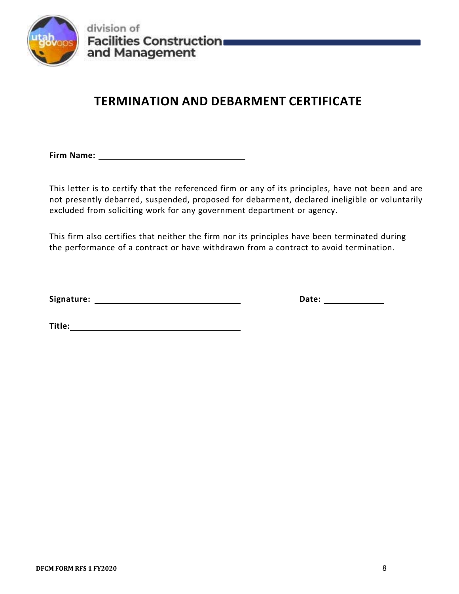

# **TERMINATION AND DEBARMENT CERTIFICATE**

**Firm Name:** 1

This letter is to certify that the referenced firm or any of its principles, have not been and are not presently debarred, suspended, proposed for debarment, declared ineligible or voluntarily excluded from soliciting work for any government department or agency.

This firm also certifies that neither the firm nor its principles have been terminated during the performance of a contract or have withdrawn from a contract to avoid termination.

**Signature: Date:** 

 $\blacksquare$  Title:  $\blacksquare$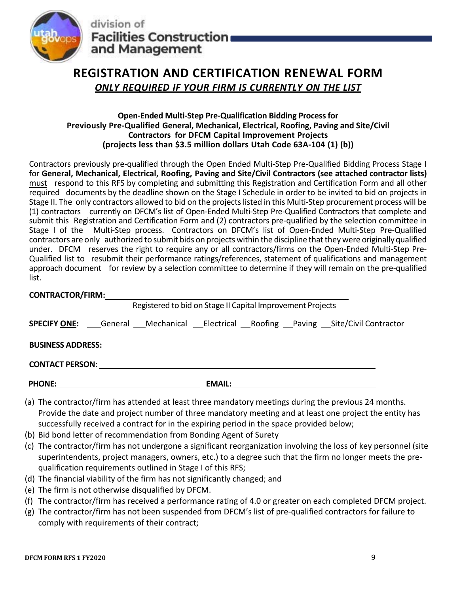

# **REGISTRATION AND CERTIFICATION RENEWAL FORM**

*ONLY REQUIRED IF YOUR FIRM IS CURRENTLY ON THE LIST*

#### **Open‐Ended Multi‐Step Pre‐Qualification Bidding Process for Previously Pre‐Qualified General, Mechanical, Electrical, Roofing, Paving and Site/Civil Contractors for DFCM Capital Improvement Projects (projects less than \$3.5 million dollars Utah Code 63A‐104 (1) (b))**

Contractors previously pre‐qualified through the Open Ended Multi‐Step Pre‐Qualified Bidding Process Stage I for **General, Mechanical, Electrical, Roofing, Paving and Site/Civil Contractors (see attached contractor lists)**  must respond to this RFS by completing and submitting this Registration and Certification Form and all other required documents by the deadline shown on the Stage I Schedule in order to be invited to bid on projects in Stage II. The only contractors allowed to bid on the projects listed in this Multi‐Step procurement process will be (1) contractors currently on DFCM's list of Open‐Ended Multi‐Step Pre‐Qualified Contractors that complete and submit this Registration and Certification Form and (2) contractors pre‐qualified by the selection committee in Stage I of the Multi-Step process. Contractors on DFCM's list of Open-Ended Multi-Step Pre-Qualified contractors are only authorized to submit bids on projects within the discipline that they were originally qualified under. DFCM reserves the right to require any or all contractors/firms on the Open‐Ended Multi‐Step Pre‐ Qualified list to resubmit their performance ratings/references, statement of qualifications and management approach document for review by a selection committee to determine if they will remain on the pre‐qualified list.

| <b>CONTRACTOR/FIRM:</b> |  |
|-------------------------|--|
|                         |  |

| Registered to bid on Stage II Capital Improvement Projects                             |  |  |               |  |  |  |
|----------------------------------------------------------------------------------------|--|--|---------------|--|--|--|
| <b>SPECIFY ONE:</b> General Mechanical Electrical Roofing Paving Site/Civil Contractor |  |  |               |  |  |  |
| <b>BUSINESS ADDRESS:</b>                                                               |  |  |               |  |  |  |
| <b>CONTACT PERSON:</b>                                                                 |  |  |               |  |  |  |
| <b>PHONE:</b>                                                                          |  |  | <b>EMAIL:</b> |  |  |  |

- (a) The contractor/firm has attended at least three mandatory meetings during the previous 24 months. Provide the date and project number of three mandatory meeting and at least one project the entity has successfully received a contract for in the expiring period in the space provided below;
- (b) Bid bond letter of recommendation from Bonding Agent of Surety
- (c) The contractor/firm has not undergone a significant reorganization involving the loss of key personnel (site superintendents, project managers, owners, etc.) to a degree such that the firm no longer meets the pre‐ qualification requirements outlined in Stage I of this RFS;
- (d) The financial viability of the firm has not significantly changed; and
- (e) The firm is not otherwise disqualified by DFCM.
- (f) The contractor/firm has received a performance rating of 4.0 or greater on each completed DFCM project.
- (g) The contractor/firm has not been suspended from DFCM's list of pre‐qualified contractors for failure to comply with requirements of their contract;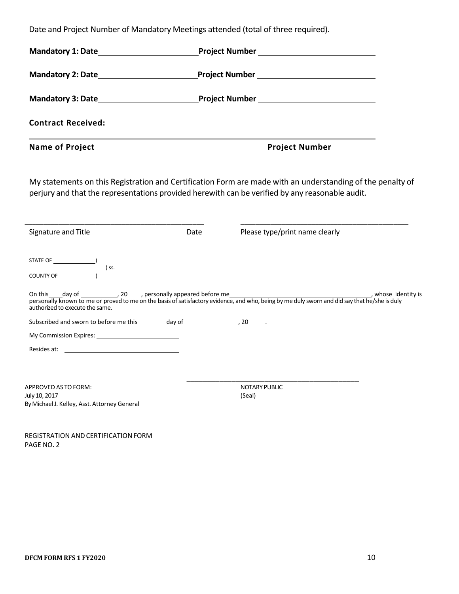Date and Project Number of Mandatory Meetings attended (total of three required).

| <b>Contract Received:</b>                                                                                                                                                                                                                            |      |                                |                     |  |  |
|------------------------------------------------------------------------------------------------------------------------------------------------------------------------------------------------------------------------------------------------------|------|--------------------------------|---------------------|--|--|
| <b>Name of Project</b>                                                                                                                                                                                                                               |      | <b>Project Number</b>          |                     |  |  |
| My statements on this Registration and Certification Form are made with an understanding of the penalty of<br>perjury and that the representations provided herewith can be verified by any reasonable audit.                                        |      |                                |                     |  |  |
| Signature and Title                                                                                                                                                                                                                                  | Date | Please type/print name clearly |                     |  |  |
| COUNTY OF (2)                                                                                                                                                                                                                                        |      |                                |                     |  |  |
| On this day of day of discussed to personally appeared before me<br>personally known to me or proved to me on the basis of satisfactory evidence, and who, being by me duly sworn and did say that he/she is duly<br>authorized to execute the same. |      |                                | , whose identity is |  |  |
| Subscribed and sworn to before me this __________ day of ________________________, 20_______.                                                                                                                                                        |      |                                |                     |  |  |
|                                                                                                                                                                                                                                                      |      |                                |                     |  |  |
| Resides at: the contract of the contract of the contract of the contract of the contract of the contract of the contract of the contract of the contract of the contract of the contract of the contract of the contract of th                       |      |                                |                     |  |  |
| APPROVED AS TO FORM:                                                                                                                                                                                                                                 |      | <b>NOTARY PUBLIC</b>           |                     |  |  |
| July 10, 2017<br>By Michael J. Kelley, Asst. Attorney General                                                                                                                                                                                        |      | (Seal)                         |                     |  |  |
|                                                                                                                                                                                                                                                      |      |                                |                     |  |  |

REGISTRATION AND CERTIFICATION FORM PAGE NO. 2